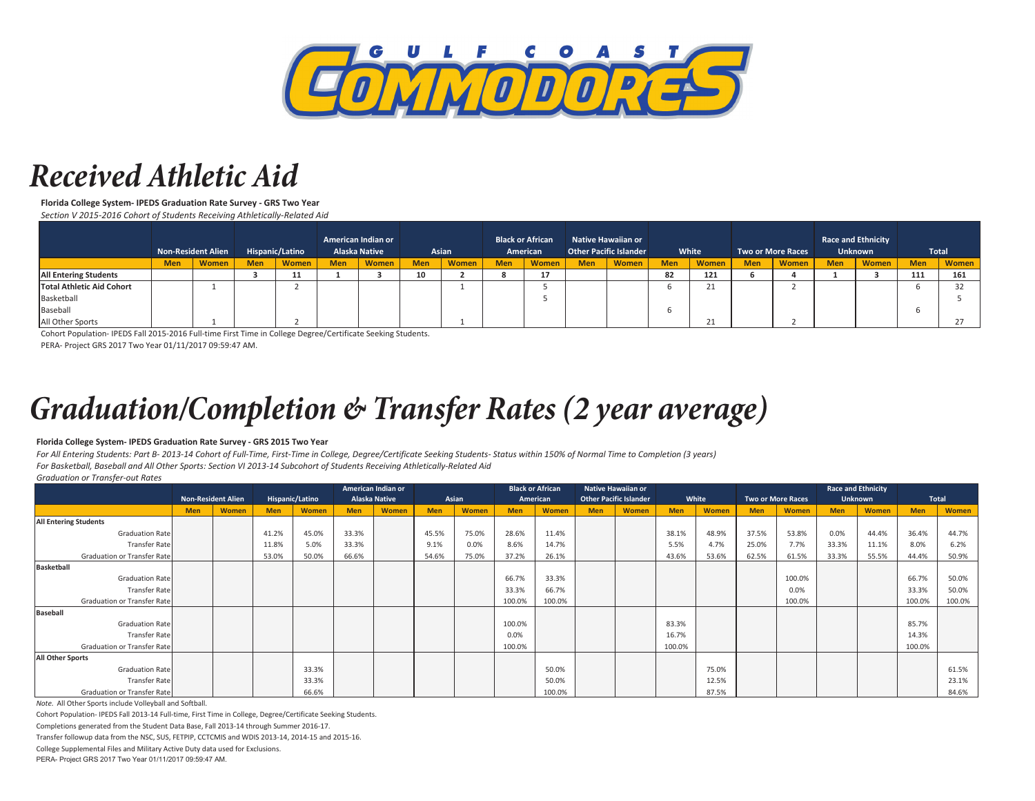

### *Received Athletic Aid*

**Florida College System- IPEDS Graduation Rate Survey - GRS Two Year** *Section V 2015-2016 Cohort of Students Receiving Athletically-Related Aid*

|                              | <b>Non-Resident Alien</b> |              | Hispanic/Latino |              | American Indian or<br><b>Alaska Native</b> |       | Asian      |              | <b>Black or African</b><br>American |       | Native Hawaiian or<br><b>Other Pacific Islander</b> |       | White      |               | <b>Two or More Races</b> |              | <b>Race and Ethnicity</b><br><b>Unknown</b> |       | <b>Total</b> |              |
|------------------------------|---------------------------|--------------|-----------------|--------------|--------------------------------------------|-------|------------|--------------|-------------------------------------|-------|-----------------------------------------------------|-------|------------|---------------|--------------------------|--------------|---------------------------------------------|-------|--------------|--------------|
|                              | <b>Men</b>                | <b>Women</b> | <b>Men</b>      | <b>Women</b> | <b>Men</b>                                 | Women | <b>Men</b> | <b>Women</b> | <b>Men</b>                          | Women | <b>Men</b>                                          | Women | <b>Men</b> | <b>Women</b>  | <b>Men</b>               | <b>Women</b> | <b>Men</b>                                  | Women | <b>Men</b>   | <b>Women</b> |
| <b>All Entering Students</b> |                           |              |                 | 11           |                                            |       | 10         |              |                                     | 17    |                                                     |       | 82         | 121           |                          |              |                                             |       | 111          | 161          |
| Total Athletic Aid Cohort    |                           |              |                 |              |                                            |       |            |              |                                     |       |                                                     |       |            | 21            |                          |              |                                             |       |              |              |
| Basketball                   |                           |              |                 |              |                                            |       |            |              |                                     |       |                                                     |       |            |               |                          |              |                                             |       |              |              |
| Baseball                     |                           |              |                 |              |                                            |       |            |              |                                     |       |                                                     |       |            |               |                          |              |                                             |       |              |              |
| All Other Sports             |                           |              |                 |              |                                            |       |            |              |                                     |       |                                                     |       |            | $\mathcal{D}$ |                          |              |                                             |       |              |              |

Cohort Population- IPEDS Fall 2015-2016 Full-time First Time in College Degree/Certificate Seeking Students.

PERA- Project GRS 2017 Two Year 01/11/2017 09:59:47 AM.

# *Graduation/Completion & Transfer Rates (2 year average)*

#### **Florida College System- IPEDS Graduation Rate Survey - GRS 2015 Two Year**

*For All Entering Students: Part B- 2013-14 Cohort of Full-Time, First-Time in College, Degree/Certificate Seeking Students- Status within 150% of Normal Time to Completion (3 years) For Basketball, Baseball and All Other Sports: Section VI 2013-14 Subcohort of Students Receiving Athletically-Related Aid*

*Graduation or Transfer-out Rates* Men | Women | Men | Women | Men | Women | Men | Women | Men | Women | Men | Women | Men | Women | Men | Women | Men | Women | Men | Women **All Entering Students** Graduation Rate 41.2% 45.0% 33.3% 45.0% 33.3% 45.5% 75.0% 28.6% 11.4% 12.4% 37.5% 37.5% 53.8% 10.0% 44.4% 36.4% 44.7% Transfer Rate 11.8% 3.0% 33.3% 9.2% 5.0% 33.3% 9.2% 9.1% 1.8% 5.0% 5.0% 5.0% 5.0% 5.2% 5.2% 5.2% 5.2% 5.2% 5.2 Graduation or Transfer Rate 53.0% 50.0% 50.0% 56.6% 56.6% 54.6% 75.0% 37.2% 26.1% 26.1% 75.9% 53.6% 53.6% 53.6% 53.6% 52.5% 54.4% 50.9% **Basketball**  Graduation Rate 66.7% 33.3% 100.0% 66.7% 50.0% Transfer Rate 33.3% 66.7% 0.0% 33.3% 50.0% Graduation or Transfer Rate 100.0% 100.0% 100.0% 100.0% 100.0% **Baseball**  Graduation Rate 100.0% 83.3% 85.7% Transfer Rate 0.0% 16.7% 14.3% Graduation or Transfer Rate 100.0% 100.0% 100.0% **All Other Sports** Graduation Rate | | | 33.3% | | | | 50.0% | | | | 75.0% | | | | | | | | | | | | 61.5% Transfer Rate 33.3% 50.0% 12.5% 23.1% Graduation or Transfer Rate 66.6% 100.0% 87.5% 84.6% **White Two or More Races Race and Ethnicity Unknown Total Native Hawaiian or Non-Resident Alien Hispanic/Latino Other Pacific Islander American Indian or Alaska Native Black or African American**

*Note.* All Other Sports include Volleyball and Softball.

Cohort Population- IPEDS Fall 2013-14 Full-time, First Time in College, Degree/Certificate Seeking Students.

Completions generated from the Student Data Base, Fall 2013-14 through Summer 2016-17.

Transfer followup data from the NSC, SUS, FETPIP, CCTCMIS and WDIS 2013-14, 2014-15 and 2015-16.

College Supplemental Files and Military Active Duty data used for Exclusions.

PERA- Project GRS 2017 Two Year 01/11/2017 09:59:47 AM.